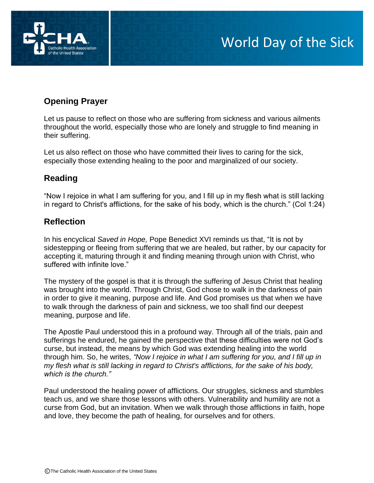

# **Opening Prayer**

Let us pause to reflect on those who are suffering from sickness and various ailments throughout the world, especially those who are lonely and struggle to find meaning in their suffering.

Let us also reflect on those who have committed their lives to caring for the sick, especially those extending healing to the poor and marginalized of our society.

## **Reading**

"Now I rejoice in what I am suffering for you, and I fill up in my flesh what is still lacking in regard to Christ's afflictions, for the sake of his body, which is the church." (Col 1:24)

## **Reflection**

In his encyclical *Saved in Hope,* Pope Benedict XVI reminds us that, "It is not by sidestepping or fleeing from suffering that we are healed, but rather, by our capacity for accepting it, maturing through it and finding meaning through union with Christ, who suffered with infinite love."

The mystery of the gospel is that it is through the suffering of Jesus Christ that healing was brought into the world. Through Christ, God chose to walk in the darkness of pain in order to give it meaning, purpose and life. And God promises us that when we have to walk through the darkness of pain and sickness, we too shall find our deepest meaning, purpose and life.

The Apostle Paul understood this in a profound way. Through all of the trials, pain and sufferings he endured, he gained the perspective that these difficulties were not God's curse, but instead, the means by which God was extending healing into the world through him. So, he writes, *"Now I rejoice in what I am suffering for you, and I fill up in my flesh what is still lacking in regard to Christ's afflictions, for the sake of his body, which is the church."*

Paul understood the healing power of afflictions. Our struggles, sickness and stumbles teach us, and we share those lessons with others. Vulnerability and humility are not a curse from God, but an invitation. When we walk through those afflictions in faith, hope and love, they become the path of healing, for ourselves and for others.